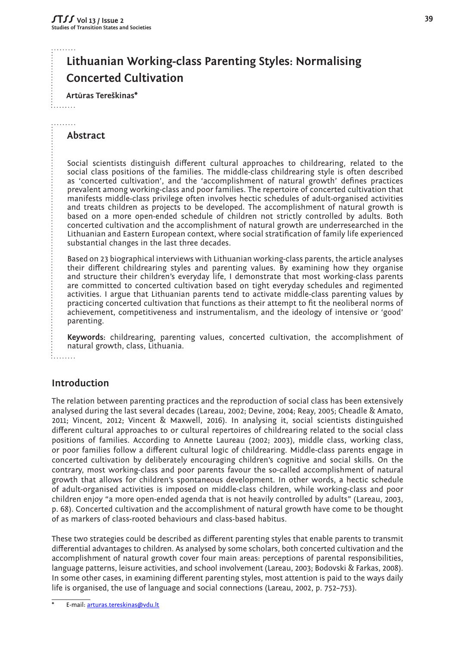# **Lithuanian Working-class Parenting Styles: Normalising Concerted Cultivation**

 **Art<sup>ū</sup>ras Tereškinas\***

# **Abstract**

: . . . . . . . **.** . . . . . . . .

> Social scientists distinguish different cultural approaches to childrearing, related to the social class positions of the families. The middle-class childrearing style is often described as 'concerted cultivation', and the 'accomplishment of natural growth' defines practices prevalent among working-class and poor families. The repertoire of concerted cultivation that manifests middle-class privilege often involves hectic schedules of adult-organised activities and treats children as projects to be developed. The accomplishment of natural growth is based on a more open-ended schedule of children not strictly controlled by adults. Both concerted cultivation and the accomplishment of natural growth are underresearched in the Lithuanian and Eastern European context, where social stratification of family life experienced substantial changes in the last three decades.

> Based on 23 biographical interviews with Lithuanian working-class parents, the article analyses their different childrearing styles and parenting values. By examining how they organise and structure their children's everyday life, I demonstrate that most working-class parents are committed to concerted cultivation based on tight everyday schedules and regimented activities. I argue that Lithuanian parents tend to activate middle-class parenting values by practicing concerted cultivation that functions as their attempt to fit the neoliberal norms of achievement, competitiveness and instrumentalism, and the ideology of intensive or 'good' parenting.

> **Keywords:** childrearing, parenting values, concerted cultivation, the accomplishment of natural growth, class, Lithuania.

#### .<br>.........

# **Introduction**

The relation between parenting practices and the reproduction of social class has been extensively analysed during the last several decades (Lareau, 2002; Devine, 2004; Reay, 2005; Cheadle & Amato, 2011; Vincent, 2012; Vincent & Maxwell, 2016). In analysing it, social scientists distinguished different cultural approaches to or cultural repertoires of childrearing related to the social class positions of families. According to Annette Laureau (2002; 2003), middle class, working class, or poor families follow a different cultural logic of childrearing. Middle-class parents engage in concerted cultivation by deliberately encouraging children's cognitive and social skills. On the contrary, most working-class and poor parents favour the so-called accomplishment of natural growth that allows for children's spontaneous development. In other words, a hectic schedule of adult-organised activities is imposed on middle-class children, while working-class and poor children enjoy "a more open-ended agenda that is not heavily controlled by adults" (Lareau, 2003, p. 68). Concerted cultivation and the accomplishment of natural growth have come to be thought of as markers of class-rooted behaviours and class-based habitus.

These two strategies could be described as different parenting styles that enable parents to transmit differential advantages to children. As analysed by some scholars, both concerted cultivation and the accomplishment of natural growth cover four main areas: perceptions of parental responsibilities, language patterns, leisure activities, and school involvement (Lareau, 2003; Bodovski & Farkas, 2008). In some other cases, in examining different parenting styles, most attention is paid to the ways daily life is organised, the use of language and social connections (Lareau, 2002, p. 752–753).

E-mail: [arturas.tereskinas@vdu.lt](mailto:arturas.tereskinas%40vdu.lt?subject=)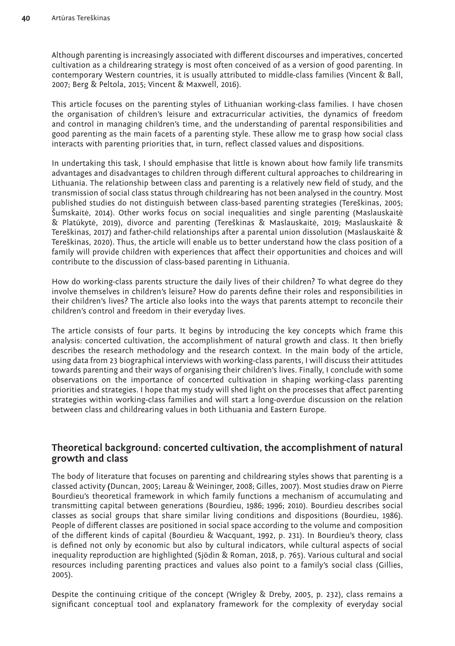Although parenting is increasingly associated with different discourses and imperatives, concerted cultivation as a childrearing strategy is most often conceived of as a version of good parenting. In contemporary Western countries, it is usually attributed to middle-class families (Vincent & Ball, 2007; Berg & Peltola, 2015; Vincent & Maxwell, 2016).

This article focuses on the parenting styles of Lithuanian working-class families. I have chosen the organisation of children's leisure and extracurricular activities, the dynamics of freedom and control in managing children's time, and the understanding of parental responsibilities and good parenting as the main facets of a parenting style. These allow me to grasp how social class interacts with parenting priorities that, in turn, reflect classed values and dispositions.

In undertaking this task, I should emphasise that little is known about how family life transmits advantages and disadvantages to children through different cultural approaches to childrearing in Lithuania. The relationship between class and parenting is a relatively new field of study, and the transmission of social class status through childrearing has not been analysed in the country. Most published studies do not distinguish between class-based parenting strategies (Tereškinas, 2005; Šumskaitė, 2014). Other works focus on social inequalities and single parenting (Maslauskaitė & Platūkytė, 2019), divorce and parenting (Tereškinas & Maslauskaitė, 2019; Maslauskaitė & Tereškinas, 2017) and father-child relationships after a parental union dissolution (Maslauskaitė & Tereškinas, 2020). Thus, the article will enable us to better understand how the class position of a family will provide children with experiences that affect their opportunities and choices and will contribute to the discussion of class-based parenting in Lithuania.

How do working-class parents structure the daily lives of their children? To what degree do they involve themselves in children's leisure? How do parents define their roles and responsibilities in their children's lives? The article also looks into the ways that parents attempt to reconcile their children's control and freedom in their everyday lives.

The article consists of four parts. It begins by introducing the key concepts which frame this analysis: concerted cultivation, the accomplishment of natural growth and class. It then briefly describes the research methodology and the research context. In the main body of the article, using data from 23 biographical interviews with working-class parents, I will discuss their attitudes towards parenting and their ways of organising their children's lives. Finally, I conclude with some observations on the importance of concerted cultivation in shaping working-class parenting priorities and strategies. I hope that my study will shed light on the processes that affect parenting strategies within working-class families and will start a long-overdue discussion on the relation between class and childrearing values in both Lithuania and Eastern Europe.

# **Theoretical background: concerted cultivation, the accomplishment of natural growth and class**

The body of literature that focuses on parenting and childrearing styles shows that parenting is a classed activity **(**Duncan, 2005; Lareau & Weininger, 2008; Gilles, 2007). Most studies draw on Pierre Bourdieu's theoretical framework in which family functions a mechanism of accumulating and transmitting capital between generations (Bourdieu, 1986; 1996; 2010). Bourdieu describes social classes as social groups that share similar living conditions and dispositions (Bourdieu, 1986). People of different classes are positioned in social space according to the volume and composition of the different kinds of capital (Bourdieu & Wacquant, 1992, p. 231). In Bourdieu's theory, class is defined not only by economic but also by cultural indicators, while cultural aspects of social inequality reproduction are highlighted (Sjödin & Roman, 2018, p. 765). Various cultural and social resources including parenting practices and values also point to a family's social class (Gillies, 2005).

Despite the continuing critique of the concept (Wrigley & Dreby, 2005, p. 232), class remains a significant conceptual tool and explanatory framework for the complexity of everyday social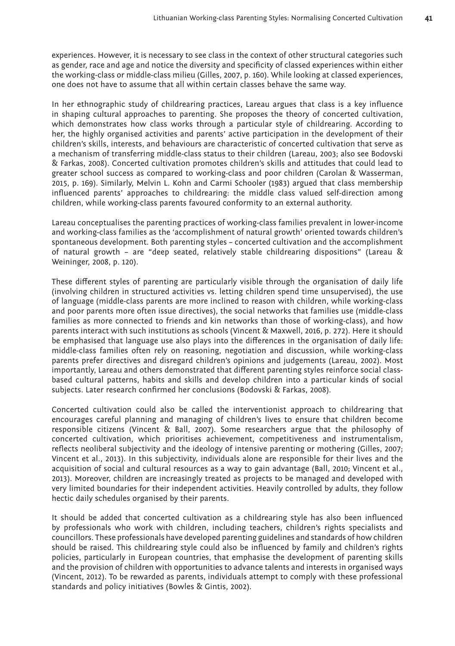experiences. However, it is necessary to see class in the context of other structural categories such as gender, race and age and notice the diversity and specificity of classed experiences within either the working-class or middle-class milieu (Gilles, 2007, p. 160). While looking at classed experiences, one does not have to assume that all within certain classes behave the same way.

In her ethnographic study of childrearing practices, Lareau argues that class is a key influence in shaping cultural approaches to parenting. She proposes the theory of concerted cultivation, which demonstrates how class works through a particular style of childrearing. According to her, the highly organised activities and parents' active participation in the development of their children's skills, interests, and behaviours are characteristic of concerted cultivation that serve as a mechanism of transferring middle-class status to their children (Lareau, 2003; also see Bodovski & Farkas, 2008). Concerted cultivation promotes children's skills and attitudes that could lead to greater school success as compared to working-class and poor children (Carolan & Wasserman, 2015, p. 169). Similarly, Melvin L. Kohn and Carmi Schooler (1983) argued that class membership influenced parents' approaches to childrearing: the middle class valued self-direction among children, while working-class parents favoured conformity to an external authority.

Lareau conceptualises the parenting practices of working-class families prevalent in lower-income and working-class families as the 'accomplishment of natural growth' oriented towards children's spontaneous development. Both parenting styles – concerted cultivation and the accomplishment of natural growth – are "deep seated, relatively stable childrearing dispositions" (Lareau & Weininger, 2008, p. 120).

These different styles of parenting are particularly visible through the organisation of daily life (involving children in structured activities vs. letting children spend time unsupervised), the use of language (middle-class parents are more inclined to reason with children, while working-class and poor parents more often issue directives), the social networks that families use (middle-class families as more connected to friends and kin networks than those of working-class), and how parents interact with such institutions as schools (Vincent & Maxwell, 2016, p. 272). Here it should be emphasised that language use also plays into the differences in the organisation of daily life: middle-class families often rely on reasoning, negotiation and discussion, while working-class parents prefer directives and disregard children's opinions and judgements (Lareau, 2002). Most importantly, Lareau and others demonstrated that different parenting styles reinforce social classbased cultural patterns, habits and skills and develop children into a particular kinds of social subjects. Later research confirmed her conclusions (Bodovski & Farkas, 2008).

Concerted cultivation could also be called the interventionist approach to childrearing that encourages careful planning and managing of children's lives to ensure that children become responsible citizens (Vincent & Ball, 2007). Some researchers argue that the philosophy of concerted cultivation, which prioritises achievement, competitiveness and instrumentalism, reflects neoliberal subjectivity and the ideology of intensive parenting or mothering (Gilles, 2007; Vincent et al., 2013). In this subjectivity, individuals alone are responsible for their lives and the acquisition of social and cultural resources as a way to gain advantage (Ball, 2010; Vincent et al., 2013). Moreover, children are increasingly treated as projects to be managed and developed with very limited boundaries for their independent activities. Heavily controlled by adults, they follow hectic daily schedules organised by their parents.

It should be added that concerted cultivation as a childrearing style has also been influenced by professionals who work with children, including teachers, children's rights specialists and councillors. These professionals have developed parenting guidelines and standards of how children should be raised. This childrearing style could also be influenced by family and children's rights policies, particularly in European countries, that emphasise the development of parenting skills and the provision of children with opportunities to advance talents and interests in organised ways (Vincent, 2012). To be rewarded as parents, individuals attempt to comply with these professional standards and policy initiatives (Bowles & Gintis, 2002).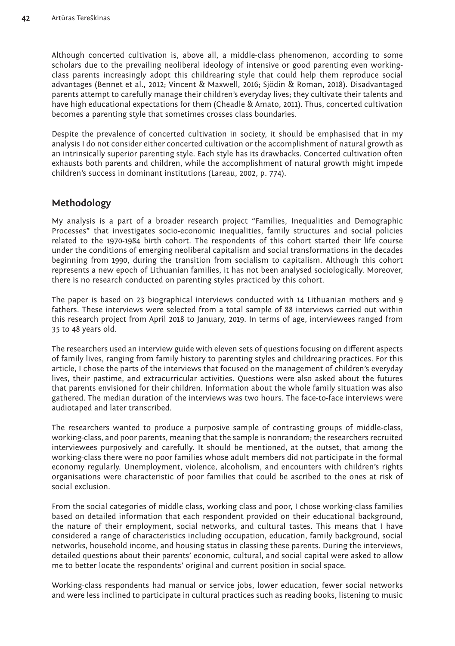Although concerted cultivation is, above all, a middle-class phenomenon, according to some scholars due to the prevailing neoliberal ideology of intensive or good parenting even workingclass parents increasingly adopt this childrearing style that could help them reproduce social advantages (Bennet et al., 2012; Vincent & Maxwell, 2016; Sjödin & Roman, 2018). Disadvantaged parents attempt to carefully manage their children's everyday lives; they cultivate their talents and have high educational expectations for them (Cheadle & Amato, 2011). Thus, concerted cultivation becomes a parenting style that sometimes crosses class boundaries.

Despite the prevalence of concerted cultivation in society, it should be emphasised that in my analysis I do not consider either concerted cultivation or the accomplishment of natural growth as an intrinsically superior parenting style. Each style has its drawbacks. Concerted cultivation often exhausts both parents and children, while the accomplishment of natural growth might impede children's success in dominant institutions (Lareau, 2002, p. 774).

# **Methodology**

My analysis is a part of a broader research project "Families, Inequalities and Demographic Processes" that investigates socio-economic inequalities, family structures and social policies related to the 1970-1984 birth cohort. The respondents of this cohort started their life course under the conditions of emerging neoliberal capitalism and social transformations in the decades beginning from 1990, during the transition from socialism to capitalism. Although this cohort represents a new epoch of Lithuanian families, it has not been analysed sociologically. Moreover, there is no research conducted on parenting styles practiced by this cohort.

The paper is based on 23 biographical interviews conducted with 14 Lithuanian mothers and 9 fathers. These interviews were selected from a total sample of 88 interviews carried out within this research project from April 2018 to January, 2019. In terms of age, interviewees ranged from 35 to 48 years old.

The researchers used an interview guide with eleven sets of questions focusing on different aspects of family lives, ranging from family history to parenting styles and childrearing practices. For this article, I chose the parts of the interviews that focused on the management of children's everyday lives, their pastime, and extracurricular activities. Questions were also asked about the futures that parents envisioned for their children. Information about the whole family situation was also gathered. The median duration of the interviews was two hours. The face-to-face interviews were audiotaped and later transcribed.

The researchers wanted to produce a purposive sample of contrasting groups of middle-class, working-class, and poor parents, meaning that the sample is nonrandom; the researchers recruited interviewees purposively and carefully. It should be mentioned, at the outset, that among the working-class there were no poor families whose adult members did not participate in the formal economy regularly. Unemployment, violence, alcoholism, and encounters with children's rights organisations were characteristic of poor families that could be ascribed to the ones at risk of social exclusion.

From the social categories of middle class, working class and poor, I chose working-class families based on detailed information that each respondent provided on their educational background, the nature of their employment, social networks, and cultural tastes. This means that I have considered a range of characteristics including occupation, education, family background, social networks, household income, and housing status in classing these parents. During the interviews, detailed questions about their parents' economic, cultural, and social capital were asked to allow me to better locate the respondents' original and current position in social space.

Working-class respondents had manual or service jobs, lower education, fewer social networks and were less inclined to participate in cultural practices such as reading books, listening to music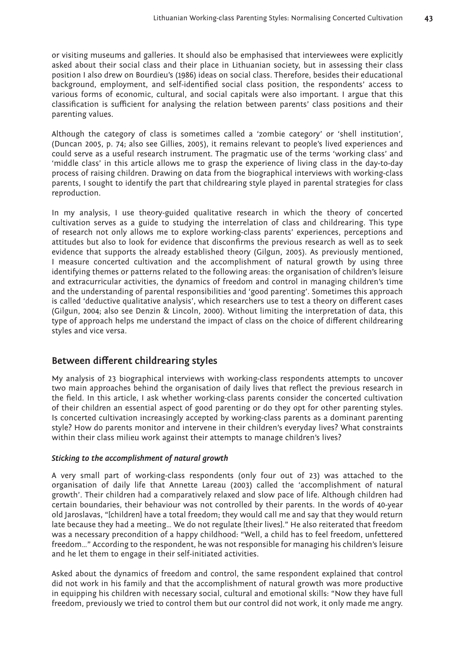or visiting museums and galleries. It should also be emphasised that interviewees were explicitly asked about their social class and their place in Lithuanian society, but in assessing their class position I also drew on Bourdieu's (1986) ideas on social class. Therefore, besides their educational background, employment, and self-identified social class position, the respondents' access to various forms of economic, cultural, and social capitals were also important. I argue that this classification is sufficient for analysing the relation between parents' class positions and their parenting values.

Although the category of class is sometimes called a 'zombie category' or 'shell institution', (Duncan 2005, p. 74; also see Gillies, 2005), it remains relevant to people's lived experiences and could serve as a useful research instrument. The pragmatic use of the terms 'working class' and 'middle class' in this article allows me to grasp the experience of living class in the day-to-day process of raising children. Drawing on data from the biographical interviews with working-class parents, I sought to identify the part that childrearing style played in parental strategies for class reproduction.

In my analysis, I use theory-guided qualitative research in which the theory of concerted cultivation serves as a guide to studying the interrelation of class and childrearing. This type of research not only allows me to explore working-class parents' experiences, perceptions and attitudes but also to look for evidence that disconfirms the previous research as well as to seek evidence that supports the already established theory (Gilgun, 2005). As previously mentioned, I measure concerted cultivation and the accomplishment of natural growth by using three identifying themes or patterns related to the following areas: the organisation of children's leisure and extracurricular activities, the dynamics of freedom and control in managing children's time and the understanding of parental responsibilities and 'good parenting'. Sometimes this approach is called 'deductive qualitative analysis', which researchers use to test a theory on different cases (Gilgun, 2004; also see Denzin & Lincoln, 2000). Without limiting the interpretation of data, this type of approach helps me understand the impact of class on the choice of different childrearing styles and vice versa.

# **Between different childrearing styles**

My analysis of 23 biographical interviews with working-class respondents attempts to uncover two main approaches behind the organisation of daily lives that reflect the previous research in the field. In this article, I ask whether working-class parents consider the concerted cultivation of their children an essential aspect of good parenting or do they opt for other parenting styles. Is concerted cultivation increasingly accepted by working-class parents as a dominant parenting style? How do parents monitor and intervene in their children's everyday lives? What constraints within their class milieu work against their attempts to manage children's lives?

#### *Sticking to the accomplishment of natural growth*

A very small part of working-class respondents (only four out of 23) was attached to the organisation of daily life that Annette Lareau (2003) called the 'accomplishment of natural growth'. Their children had a comparatively relaxed and slow pace of life. Although children had certain boundaries, their behaviour was not controlled by their parents. In the words of 40-year old Jaroslavas, "[children] have a total freedom; they would call me and say that they would return late because they had a meeting… We do not regulate [their lives]." He also reiterated that freedom was a necessary precondition of a happy childhood: "Well, a child has to feel freedom, unfettered freedom…" According to the respondent, he was not responsible for managing his children's leisure and he let them to engage in their self-initiated activities.

Asked about the dynamics of freedom and control, the same respondent explained that control did not work in his family and that the accomplishment of natural growth was more productive in equipping his children with necessary social, cultural and emotional skills: "Now they have full freedom, previously we tried to control them but our control did not work, it only made me angry.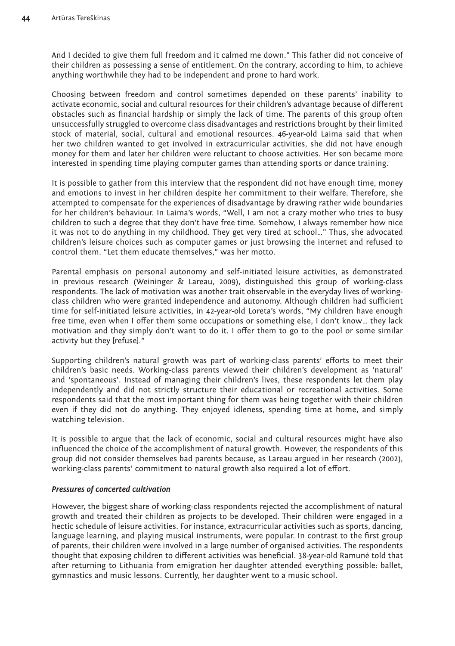And I decided to give them full freedom and it calmed me down." This father did not conceive of their children as possessing a sense of entitlement. On the contrary, according to him, to achieve anything worthwhile they had to be independent and prone to hard work.

Choosing between freedom and control sometimes depended on these parents' inability to activate economic, social and cultural resources for their children's advantage because of different obstacles such as financial hardship or simply the lack of time. The parents of this group often unsuccessfully struggled to overcome class disadvantages and restrictions brought by their limited stock of material, social, cultural and emotional resources. 46-year-old Laima said that when her two children wanted to get involved in extracurricular activities, she did not have enough money for them and later her children were reluctant to choose activities. Her son became more interested in spending time playing computer games than attending sports or dance training.

It is possible to gather from this interview that the respondent did not have enough time, money and emotions to invest in her children despite her commitment to their welfare. Therefore, she attempted to compensate for the experiences of disadvantage by drawing rather wide boundaries for her children's behaviour. In Laima's words, "Well, I am not a crazy mother who tries to busy children to such a degree that they don't have free time. Somehow, I always remember how nice it was not to do anything in my childhood. They get very tired at school…" Thus, she advocated children's leisure choices such as computer games or just browsing the internet and refused to control them. "Let them educate themselves," was her motto.

Parental emphasis on personal autonomy and self-initiated leisure activities, as demonstrated in previous research (Weininger & Lareau, 2009), distinguished this group of working-class respondents. The lack of motivation was another trait observable in the everyday lives of workingclass children who were granted independence and autonomy. Although children had sufficient time for self-initiated leisure activities, in 42-year-old Loreta's words, "My children have enough free time, even when I offer them some occupations or something else, I don't know… they lack motivation and they simply don't want to do it. I offer them to go to the pool or some similar activity but they [refuse]."

Supporting children's natural growth was part of working-class parents' efforts to meet their children's basic needs. Working-class parents viewed their children's development as 'natural' and 'spontaneous'. Instead of managing their children's lives, these respondents let them play independently and did not strictly structure their educational or recreational activities. Some respondents said that the most important thing for them was being together with their children even if they did not do anything. They enjoyed idleness, spending time at home, and simply watching television.

It is possible to argue that the lack of economic, social and cultural resources might have also influenced the choice of the accomplishment of natural growth. However, the respondents of this group did not consider themselves bad parents because, as Lareau argued in her research (2002), working-class parents' commitment to natural growth also required a lot of effort.

### *Pressures of concerted cultivation*

However, the biggest share of working-class respondents rejected the accomplishment of natural growth and treated their children as projects to be developed. Their children were engaged in a hectic schedule of leisure activities. For instance, extracurricular activities such as sports, dancing, language learning, and playing musical instruments, were popular. In contrast to the first group of parents, their children were involved in a large number of organised activities. The respondents thought that exposing children to different activities was beneficial. 38-year-old Ramunė told that after returning to Lithuania from emigration her daughter attended everything possible: ballet, gymnastics and music lessons. Currently, her daughter went to a music school.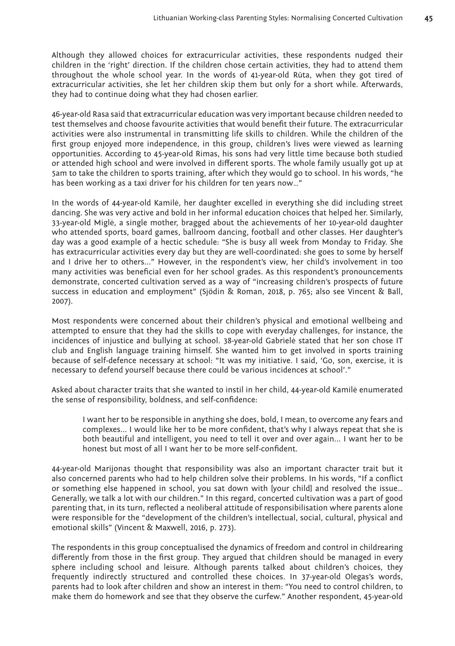Although they allowed choices for extracurricular activities, these respondents nudged their children in the 'right' direction. If the children chose certain activities, they had to attend them throughout the whole school year. In the words of 41-year-old Rūta, when they got tired of extracurricular activities, she let her children skip them but only for a short while. Afterwards, they had to continue doing what they had chosen earlier.

46-year-old Rasa said that extracurricular education was very important because children needed to test themselves and choose favourite activities that would benefit their future. The extracurricular activities were also instrumental in transmitting life skills to children. While the children of the first group enjoyed more independence, in this group, children's lives were viewed as learning opportunities. According to 45-year-old Rimas, his sons had very little time because both studied or attended high school and were involved in different sports. The whole family usually got up at 5am to take the children to sports training, after which they would go to school. In his words, "he has been working as a taxi driver for his children for ten years now…"

In the words of 44-year-old Kamilė, her daughter excelled in everything she did including street dancing. She was very active and bold in her informal education choices that helped her. Similarly, 33-year-old Miglė, a single mother, bragged about the achievements of her 10-year-old daughter who attended sports, board games, ballroom dancing, football and other classes. Her daughter's day was a good example of a hectic schedule: "She is busy all week from Monday to Friday. She has extracurricular activities every day but they are well-coordinated: she goes to some by herself and I drive her to others..." However, in the respondent's view, her child's involvement in too many activities was beneficial even for her school grades. As this respondent's pronouncements demonstrate, concerted cultivation served as a way of "increasing children's prospects of future success in education and employment" (Sjödin & Roman, 2018, p. 765; also see Vincent & Ball, 2007).

Most respondents were concerned about their children's physical and emotional wellbeing and attempted to ensure that they had the skills to cope with everyday challenges, for instance, the incidences of injustice and bullying at school. 38-year-old Gabrielė stated that her son chose IT club and English language training himself. She wanted him to get involved in sports training because of self-defence necessary at school: "It was my initiative. I said, 'Go, son, exercise, it is necessary to defend yourself because there could be various incidences at school'."

Asked about character traits that she wanted to instil in her child, 44-year-old Kamilė enumerated the sense of responsibility, boldness, and self-confidence:

I want her to be responsible in anything she does, bold, I mean, to overcome any fears and complexes... I would like her to be more confident, that's why I always repeat that she is both beautiful and intelligent, you need to tell it over and over again... I want her to be honest but most of all I want her to be more self-confident.

44-year-old Marijonas thought that responsibility was also an important character trait but it also concerned parents who had to help children solve their problems. In his words, "If a conflict or something else happened in school, you sat down with [your child] and resolved the issue… Generally, we talk a lot with our children." In this regard, concerted cultivation was a part of good parenting that, in its turn, reflected a neoliberal attitude of responsibilisation where parents alone were responsible for the "development of the children's intellectual, social, cultural, physical and emotional skills" (Vincent & Maxwell, 2016, p. 273).

The respondents in this group conceptualised the dynamics of freedom and control in childrearing differently from those in the first group. They argued that children should be managed in every sphere including school and leisure. Although parents talked about children's choices, they frequently indirectly structured and controlled these choices. In 37-year-old Olegas's words, parents had to look after children and show an interest in them: "You need to control children, to make them do homework and see that they observe the curfew." Another respondent, 45-year-old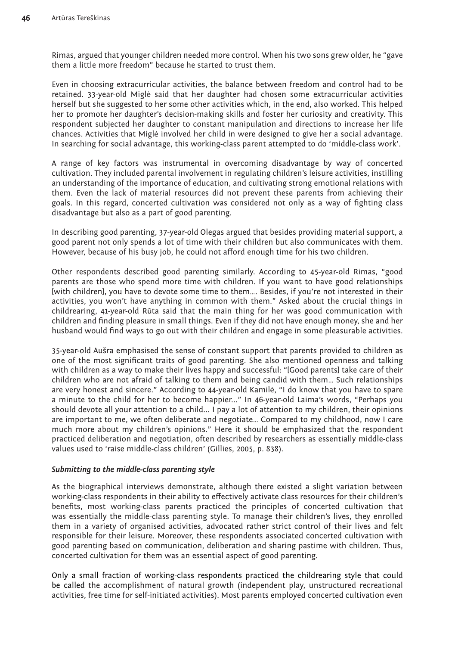Rimas, argued that younger children needed more control. When his two sons grew older, he "gave them a little more freedom" because he started to trust them.

Even in choosing extracurricular activities, the balance between freedom and control had to be retained. 33-year-old Miglė said that her daughter had chosen some extracurricular activities herself but she suggested to her some other activities which, in the end, also worked. This helped her to promote her daughter's decision-making skills and foster her curiosity and creativity. This respondent subjected her daughter to constant manipulation and directions to increase her life chances. Activities that Miglė involved her child in were designed to give her a social advantage. In searching for social advantage, this working-class parent attempted to do 'middle-class work'.

A range of key factors was instrumental in overcoming disadvantage by way of concerted cultivation. They included parental involvement in regulating children's leisure activities, instilling an understanding of the importance of education, and cultivating strong emotional relations with them. Even the lack of material resources did not prevent these parents from achieving their goals. In this regard, concerted cultivation was considered not only as a way of fighting class disadvantage but also as a part of good parenting.

In describing good parenting, 37-year-old Olegas argued that besides providing material support, a good parent not only spends a lot of time with their children but also communicates with them. However, because of his busy job, he could not afford enough time for his two children.

Other respondents described good parenting similarly. According to 45-year-old Rimas, "good parents are those who spend more time with children. If you want to have good relationships [with children], you have to devote some time to them…. Besides, if you're not interested in their activities, you won't have anything in common with them." Asked about the crucial things in childrearing, 41-year-old Rūta said that the main thing for her was good communication with children and finding pleasure in small things. Even if they did not have enough money, she and her husband would find ways to go out with their children and engage in some pleasurable activities.

35-year-old Aušra emphasised the sense of constant support that parents provided to children as one of the most significant traits of good parenting. She also mentioned openness and talking with children as a way to make their lives happy and successful: "[Good parents] take care of their children who are not afraid of talking to them and being candid with them… Such relationships are very honest and sincere." According to 44-year-old Kamilė, "I do know that you have to spare a minute to the child for her to become happier..." In 46-year-old Laima's words, "Perhaps you should devote all your attention to a child... I pay a lot of attention to my children, their opinions are important to me, we often deliberate and negotiate… Compared to my childhood, now I care much more about my children's opinions." Here it should be emphasized that the respondent practiced deliberation and negotiation, often described by researchers as essentially middle-class values used to 'raise middle-class children' (Gillies, 2005, p. 838).

### *Submitting to the middle-class parenting style*

As the biographical interviews demonstrate, although there existed a slight variation between working-class respondents in their ability to effectively activate class resources for their children's benefits, most working-class parents practiced the principles of concerted cultivation that was essentially the middle-class parenting style. To manage their children's lives, they enrolled them in a variety of organised activities, advocated rather strict control of their lives and felt responsible for their leisure. Moreover, these respondents associated concerted cultivation with good parenting based on communication, deliberation and sharing pastime with children. Thus, concerted cultivation for them was an essential aspect of good parenting.

Only a small fraction of working-class respondents practiced the childrearing style that could be called the accomplishment of natural growth (independent play, unstructured recreational activities, free time for self-initiated activities). Most parents employed concerted cultivation even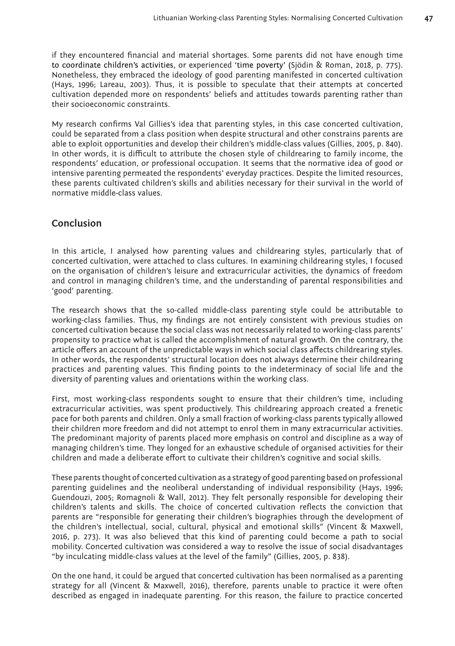if they encountered financial and material shortages. Some parents did not have enough time to coordinate children's activities, or experienced 'time poverty' (Sjödin & Roman, 2018, p. 775). Nonetheless, they embraced the ideology of good parenting manifested in concerted cultivation (Hays, 1996; Lareau, 2003). Thus, it is possible to speculate that their attempts at concerted cultivation depended more on respondents' beliefs and attitudes towards parenting rather than their socioeconomic constraints.

My research confirms Val Gillies's idea that parenting styles, in this case concerted cultivation, could be separated from a class position when despite structural and other constrains parents are able to exploit opportunities and develop their children's middle-class values (Gillies, 2005, p. 840). In other words, it is difficult to attribute the chosen style of childrearing to family income, the respondents' education, or professional occupation. It seems that the normative idea of good or intensive parenting permeated the respondents' everyday practices. Despite the limited resources, these parents cultivated children's skills and abilities necessary for their survival in the world of normative middle-class values.

# **Conclusion**

In this article, I analysed how parenting values and childrearing styles, particularly that of concerted cultivation, were attached to class cultures. In examining childrearing styles, I focused on the organisation of children's leisure and extracurricular activities, the dynamics of freedom and control in managing children's time, and the understanding of parental responsibilities and 'good' parenting.

The research shows that the so-called middle-class parenting style could be attributable to working-class families. Thus, my findings are not entirely consistent with previous studies on concerted cultivation because the social class was not necessarily related to working-class parents' propensity to practice what is called the accomplishment of natural growth. On the contrary, the article offers an account of the unpredictable ways in which social class affects childrearing styles. In other words, the respondents' structural location does not always determine their childrearing practices and parenting values. This finding points to the indeterminacy of social life and the diversity of parenting values and orientations within the working class.

First, most working-class respondents sought to ensure that their children's time, including extracurricular activities, was spent productively. This childrearing approach created a frenetic pace for both parents and children. Only a small fraction of working-class parents typically allowed their children more freedom and did not attempt to enrol them in many extracurricular activities. The predominant majority of parents placed more emphasis on control and discipline as a way of managing children's time. They longed for an exhaustive schedule of organised activities for their children and made a deliberate effort to cultivate their children's cognitive and social skills.

These parents thought of concerted cultivation as a strategy of good parenting based on professional parenting guidelines and the neoliberal understanding of individual responsibility (Hays, 1996; Guendouzi, 2005; Romagnoli & Wall, 2012). They felt personally responsible for developing their children's talents and skills. The choice of concerted cultivation reflects the conviction that parents are "responsible for generating their children's biographies through the development of the children's intellectual, social, cultural, physical and emotional skills" (Vincent & Maxwell, 2016, p. 273). It was also believed that this kind of parenting could become a path to social mobility. Concerted cultivation was considered a way to resolve the issue of social disadvantages "by inculcating middle-class values at the level of the family" (Gillies, 2005, p. 838).

On the one hand, it could be argued that concerted cultivation has been normalised as a parenting strategy for all (Vincent & Maxwell, 2016), therefore, parents unable to practice it were often described as engaged in inadequate parenting. For this reason, the failure to practice concerted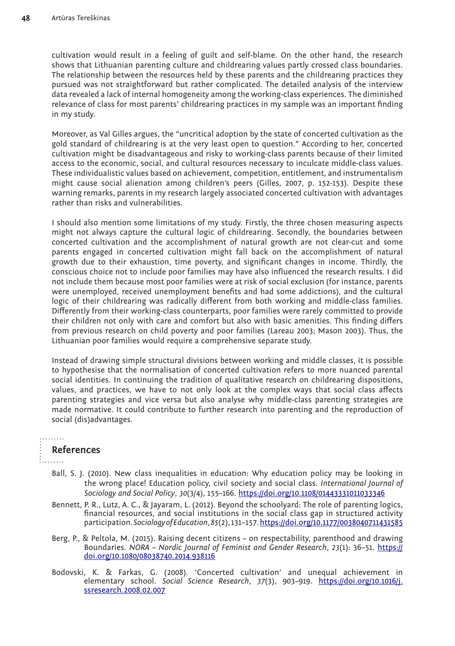cultivation would result in a feeling of guilt and self-blame. On the other hand, the research shows that Lithuanian parenting culture and childrearing values partly crossed class boundaries. The relationship between the resources held by these parents and the childrearing practices they pursued was not straightforward but rather complicated. The detailed analysis of the interview data revealed a lack of internal homogeneity among the working-class experiences. The diminished relevance of class for most parents' childrearing practices in my sample was an important finding in my study.

Moreover, as Val Gilles argues, the "uncritical adoption by the state of concerted cultivation as the gold standard of childrearing is at the very least open to question." According to her, concerted cultivation might be disadvantageous and risky to working-class parents because of their limited access to the economic, social, and cultural resources necessary to inculcate middle-class values. These individualistic values based on achievement, competition, entitlement, and instrumentalism might cause social alienation among children's peers (Gilles, 2007, p. 152-153). Despite these warning remarks, parents in my research largely associated concerted cultivation with advantages rather than risks and vulnerabilities.

I should also mention some limitations of my study. Firstly, the three chosen measuring aspects might not always capture the cultural logic of childrearing. Secondly, the boundaries between concerted cultivation and the accomplishment of natural growth are not clear-cut and some parents engaged in concerted cultivation might fall back on the accomplishment of natural growth due to their exhaustion, time poverty, and significant changes in income. Thirdly, the conscious choice not to include poor families may have also influenced the research results. I did not include them because most poor families were at risk of social exclusion (for instance, parents were unemployed, received unemployment benefits and had some addictions), and the cultural logic of their childrearing was radically different from both working and middle-class families. Differently from their working-class counterparts, poor families were rarely committed to provide their children not only with care and comfort but also with basic amenities. This finding differs from previous research on child poverty and poor families (Lareau 2003; Mason 2003). Thus, the Lithuanian poor families would require a comprehensive separate study.

Instead of drawing simple structural divisions between working and middle classes, it is possible to hypothesise that the normalisation of concerted cultivation refers to more nuanced parental social identities. In continuing the tradition of qualitative research on childrearing dispositions, values, and practices, we have to not only look at the complex ways that social class affects parenting strategies and vice versa but also analyse why middle-class parenting strategies are made normative. It could contribute to further research into parenting and the reproduction of social (dis)advantages.

# **References**

. . . . . . . .

- Ball, S. J. (2010). New class inequalities in education: Why education policy may be looking in the wrong place! Education policy, civil society and social class. *International Journal of Sociology and Social Policy*, *30*(3/4), 155–166. <https://doi.org/10.1108/01443331011033346>
- Bennett, P. R., Lutz, A. C., & Jayaram, L. (2012). Beyond the schoolyard: The role of parenting logics, financial resources, and social institutions in the social class gap in structured activity participation. *Sociology of Education*, *85*(2), 131–157. [https://doi.org/10.1177/0038040711431585](https://doi.org/10.1177%2F0038040711431585)
- Berg, P., & Peltola, M. (2015). Raising decent citizens on respectability, parenthood and drawing Boundaries. *NORA – Nordic Journal of Feminist and Gender Research*, *23*(1): 36–51. [https://](https://doi.org/10.1080/08038740.2014.938116) [doi.org/10.1080/08038740.2014.938116](https://doi.org/10.1080/08038740.2014.938116)
- Bodovski, K. & Farkas, G. (2008). 'Concerted cultivation' and unequal achievement in elementary school. *Social Science Research*, *37*(3), 903–919. [https://doi.org/10.1016/j.](https://doi.org/10.1016/j.ssresearch.2008.02.007) [ssresearch.2008.02.007](https://doi.org/10.1016/j.ssresearch.2008.02.007)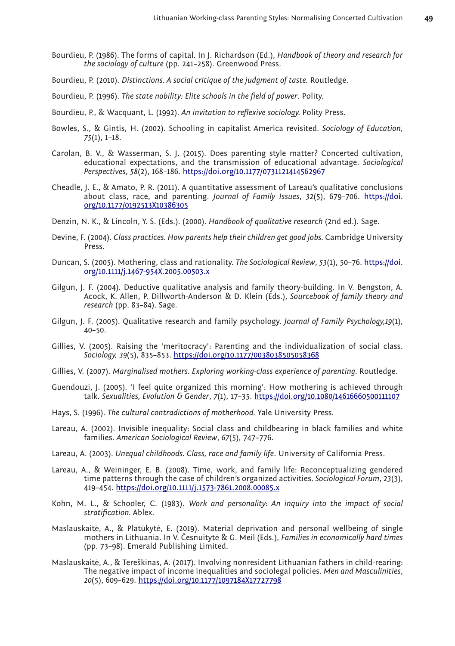- Bourdieu, P. (1986). The forms of capital. In J. Richardson (Ed.), *Handbook of theory and research for the sociology of culture* (pp. 241–258). Greenwood Press.
- Bourdieu, P. (2010). *Distinctions. A social critique of the judgment of taste.* Routledge.
- Bourdieu, P. (1996). *The state nobility: Elite schools in the field of power*. Polity.
- Bourdieu, P., & Wacquant, L. (1992). *An invitation to reflexive sociology.* Polity Press.
- Bowles, S., & Gintis, H. (2002). Schooling in capitalist America revisited. *Sociology of Education, 75*(1), 1–18.
- Carolan, B. V., & Wasserman, S. J. (2015). Does parenting style matter? Concerted cultivation, educational expectations, and the transmission of educational advantage. *Sociological Perspectives*, *58*(2), 168–186. [https://doi.org/10.1177/0731121414562967](https://doi.org/10.1177%2F0731121414562967)
- Cheadle, J. E., & Amato, P. R. (2011). A quantitative assessment of Lareau's qualitative conclusions about class, race, and parenting. *Journal of Family Issues*, *32*(5), 679–706. [https://doi.](https://doi.org/10.1177%2F0192513X10386305) [org/10.1177/0192513X10386305](https://doi.org/10.1177%2F0192513X10386305)
- Denzin, N. K., & Lincoln, Y. S. (Eds.). (2000). *Handbook of qualitative research* (2nd ed.). Sage.
- Devine, F. (2004). *Class practices. How parents help their children get good jobs.* Cambridge University Press.
- Duncan, S. (2005). Mothering, class and rationality. *The Sociological Review*, *53*(1), 50–76. [https://doi.](https://doi.org/10.1111%2Fj.1467-954X.2005.00503.x) [org/10.1111/j.1467-954X.2005.00503.x](https://doi.org/10.1111%2Fj.1467-954X.2005.00503.x)
- Gilgun, J. F. (2004). Deductive qualitative analysis and family theory-building. In V. Bengston, A. Acock, K. Allen, P. Dillworth-Anderson & D. Klein (Eds.), *Sourcebook of family theory and research* (pp. 83–84). Sage.
- Gilgun, J. F. (2005). Qualitative research and family psychology. *Journal of Family Psychology,19*(1), 40–50.
- Gillies, V. (2005). Raising the 'meritocracy': Parenting and the individualization of social class. *Sociology, 39*(5), 835–853. [https://doi.org/10.1177/0038038505058368](https://doi.org/10.1177%2F0038038505058368)
- Gillies, V. (2007). *Marginalised mothers. Exploring working-class experience of parenting.* Routledge.
- Guendouzi, J. (2005). 'I feel quite organized this morning': How mothering is achieved through talk. *Sexualities, Evolution & Gender*, *7*(1), 17–35.<https://doi.org/10.1080/14616660500111107>
- Hays, S. (1996). *The cultural contradictions of motherhood.* Yale University Press.
- Lareau, A. (2002). Invisible inequality: Social class and childbearing in black families and white families. *American Sociological Review*, *67*(5), 747–776.
- Lareau, A. (2003). *Unequal childhoods. Class, race and family life*. University of California Press.
- Lareau, A., & Weininger, E. B. (2008). Time, work, and family life: Reconceptualizing gendered time patterns through the case of children's organized activities. *Sociological Forum*, *23*(3), 419–454.<https://doi.org/10.1111/j.1573-7861.2008.00085.x>
- Kohn, M. L., & Schooler, C. (1983). *Work and personality: An inquiry into the impact of social stratification.* Ablex.
- Maslauskaitė, A., & Platūkytė, E. (2019). Material deprivation and personal wellbeing of single mothers in Lithuania. In V. Česnuitytė & G. Meil (Eds.), *Families in economically hard times* (pp. 73–98). Emerald Publishing Limited.
- Maslauskaitė, A., & Tereškinas, A. (2017). Involving nonresident Lithuanian fathers in child-rearing: The negative impact of income inequalities and sociolegal policies. *Men and Masculinities*, *20*(5), 609–629. [https://doi.org/10.1177/1097184X17727798](https://doi.org/10.1177%2F1097184X17727798)